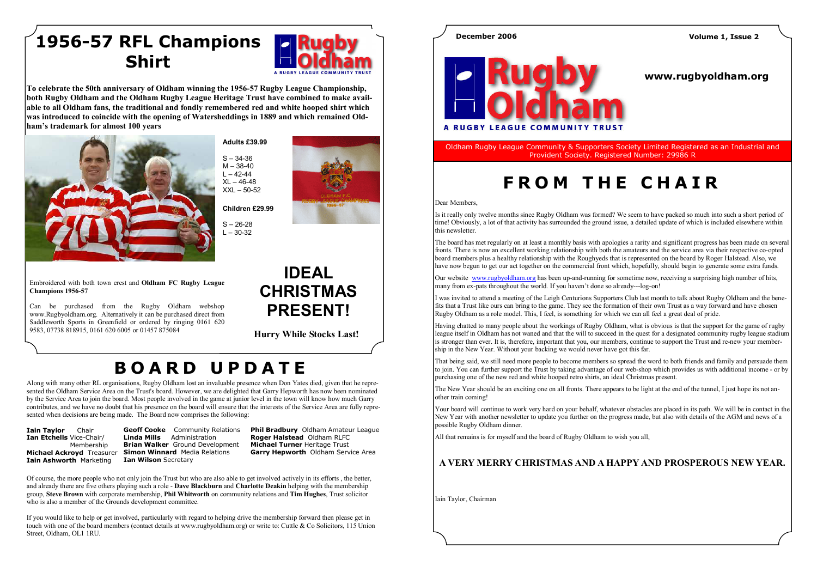Along with many other RL organisations, Rugby Oldham lost an invaluable presence when Don Yates died, given that he represented the Oldham Service Area on the Trust's board. However, we are delighted that Garry Hepworth has now been nominated by the Service Area to join the board. Most people involved in the game at junior level in the town will know how much Garry contributes, and we have no doubt that his presence on the board will ensure that the interests of the Service Area are fully represented when decisions are being made. The Board now comprises the following:

**Iain Taylor** Chair Ian Etchells Vice-Chair/ Membership **Iain Ashworth Marketing** 

Michael Ackroyd Treasurer Simon Winnard Media Relations Geoff Cooke Community Relations Linda Mills Administration Brian Walker Ground Development **Ian Wilson Secretary** 

Phil Bradbury Oldham Amateur League Roger Halstead Oldham RLFC Michael Turner Heritage Trust Garry Hepworth Oldham Service Area

Of course, the more people who not only join the Trust but who are also able to get involved actively in its efforts , the better, and already there are five others playing such a role **- Dave Blackburn** and Charlotte Deakin helping with the membership group, Steve Brown with corporate membership, Phil Whitworth on community relations and Tim Hughes, Trust solicitor who is also a member of the Grounds development committee.

If you would like to help or get involved, particularly with regard to helping drive the membership forward then please get in touch with one of the board members (contact details at www.rugbyoldham.org) or write to: Cuttle & Co Solicitors, 115 Union Street, Oldham, OL1 1RU.



To celebrate the 50th anniversary of Oldham winning the 1956-57 Rugby League Championship, both Rugby Oldham and the Oldham Rugby League Heritage Trust have combined to make available to all Oldham fans, the traditional and fondly remembered red and white hooped shirt which was introduced to coincide with the opening of Watersheddings in 1889 and which remained Oldham's trademark for almost 100 years



## 1956-57 RFL Champions Shirt



# <sup>B</sup> <sup>O</sup> <sup>A</sup> <sup>R</sup> <sup>D</sup> <sup>U</sup> <sup>P</sup> <sup>D</sup> <sup>A</sup> <sup>T</sup> <sup>E</sup>



 $S - 26-28$  $L - 30 - 32$ 



Embroidered with both town crest and Oldham FC Rugby League Champions 1956-57

Can be purchased from the Rugby Oldham webshop www.Rugbyoldham.org. Alternatively it can be purchased direct from Saddleworth Sports in Greenfield or ordered by ringing 0161 620 9583, 07738 818915, 0161 620 6005 or 01457 875084

Adults £39.99  $S - 34 - 36$  M – 38-40  $L - 42 - 44$  XL – 46-48 XXL – 50-52

> IDEAL CHRISTMAS PRESENT!

Hurry While Stocks Last!

### www.rugbyoldham.org



Oldham Rugby League Community & Supporters Society Limited Registered as an Industrial and Provident Society. Registered Number: 29986 R

# FROM THE CHAIR

Dear Members,

Is it really only twelve months since Rugby Oldham was formed? We seem to have packed so much into such a short period of time! Obviously, a lot of that activity has surrounded the ground issue, a detailed update of which is included elsewhere within this newsletter.

The board has met regularly on at least a monthly basis with apologies a rarity and significant progress has been made on several fronts. There is now an excellent working relationship with both the amateurs and the service area via their respective co-opted board members plus a healthy relationship with the Roughyeds that is represented on the board by Roger Halstead. Also, we have now begun to get our act together on the commercial front which, hopefully, should begin to generate some extra funds.

Our website www.rugbyoldham.org has been up-and-running for sometime now, receiving a surprising high number of hits, many from ex-pats throughout the world. If you haven't done so already---log-on!

I was invited to attend a meeting of the Leigh Centurions Supporters Club last month to talk about Rugby Oldham and the benefits that a Trust like ours can bring to the game. They see the formation of their own Trust as a way forward and have chosen Rugby Oldham as a role model. This, I feel, is something for which we can all feel a great deal of pride.

Having chatted to many people about the workings of Rugby Oldham, what is obvious is that the support for the game of rugby league itself in Oldham has not waned and that the will to succeed in the quest for a designated community rugby league stadium is stronger than ever. It is, therefore, important that you, our members, continue to support the Trust and re-new your membership in the New Year. Without your backing we would never have got this far.

That being said, we still need more people to become members so spread the word to both friends and family and persuade them to join. You can further support the Trust by taking advantage of our web-shop which provides us with additional income - or by purchasing one of the new red and white hooped retro shirts, an ideal Christmas present.

The New Year should be an exciting one on all fronts. There appears to be light at the end of the tunnel, I just hope its not another train coming!

Your board will continue to work very hard on your behalf, whatever obstacles are placed in its path. We will be in contact in the New Year with another newsletter to update you further on the progress made, but also with details of the AGM and news of a possible Rugby Oldham dinner.

All that remains is for myself and the board of Rugby Oldham to wish you all,

### A VERY MERRY CHRISTMAS AND A HAPPY AND PROSPEROUS NEW YEAR.

Iain Taylor, Chairman

### December 2006 Volume 1, Issue 2